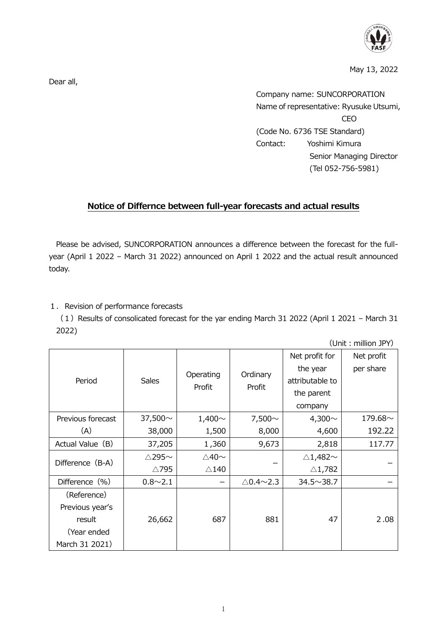

May 13, 2022

Dear all,

Company name: SUNCORPORATION Name of representative: Ryusuke Utsumi, CEO (Code No. 6736 TSE Standard) Contact: Yoshimi Kimura Senior Managing Director (Tel 052-756-5981)

## **Notice of Differnce between full-year forecasts and actual results**

Please be advised, SUNCORPORATION announces a difference between the forecast for the fullyear (April 1 2022 – March 31 2022) announced on April 1 2022 and the actual result announced today.

## 1. Revision of performance forecasts

(1) Results of consolicated forecast for the yar ending March 31 2022 (April 1 2021 – March 31 2022)

(Unit: million JPY)

| Period            | <b>Sales</b>           | Operating<br>Profit   | Ordinary<br>Profit         | Net profit for           | Net profit    |
|-------------------|------------------------|-----------------------|----------------------------|--------------------------|---------------|
|                   |                        |                       |                            | the year                 | per share     |
|                   |                        |                       |                            | attributable to          |               |
|                   |                        |                       |                            | the parent               |               |
|                   |                        |                       |                            | company                  |               |
| Previous forecast | 37,500 $\sim$          | $1,400 \sim$          | 7,500 $\sim$               | 4,300 $\sim$             | 179.68 $\sim$ |
| (A)               | 38,000                 | 1,500                 | 8,000                      | 4,600                    | 192.22        |
| Actual Value (B)  | 37,205                 | 1,360                 | 9,673                      | 2,818                    | 117.77        |
| Difference (B-A)  | $\triangle$ 295 $\sim$ | $\triangle$ 40 $\sim$ |                            | $\triangle$ 1,482 $\sim$ |               |
|                   | △795                   | $\triangle$ 140       |                            | $\triangle$ 1,782        |               |
| Difference (%)    | $0.8 \sim 2.1$         |                       | $\triangle$ 0.4 $\sim$ 2.3 | $34.5 \sim 38.7$         |               |
| (Reference)       |                        |                       |                            |                          |               |
| Previous year's   |                        |                       |                            |                          |               |
| result            | 26,662                 | 687                   | 881                        | 47                       | 2.08          |
| (Year ended       |                        |                       |                            |                          |               |
| March 31 2021)    |                        |                       |                            |                          |               |